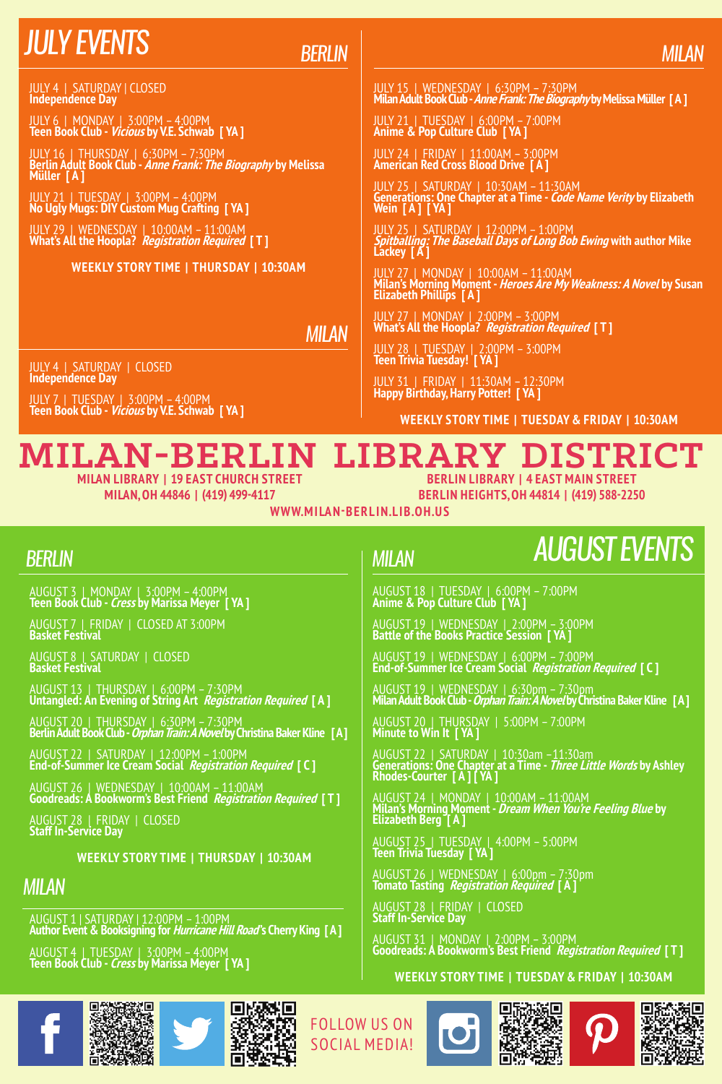### *July events*

*Berlin*

JULY 4 | SATURDAY | CLOSED **Independence Day**

JULY 6 | MONDAY | 3:00PM – 4:00PM **Teen Book Club - Vicious by V.E. Schwab [ YA ]**

JULY 16 | THURSDAY | 6:30PM – 7:30PM<br>Berlin Adult Book Club - *Anne Frank: The Biography* by Melissa<br>Müller [ A ]

JULY 21 | TUESDAY | 3:00PM – 4:00PM **No Ugly Mugs: DIY Custom Mug Crafting [ YA ]**

JULY 29 | WEDNESDAY | 10:00AM – 11:00AM **What's All the Hoopla? Registration Required [ T ]**

#### **Weekly Story Time | THURSDAY | 10:30AM**

*milan*

JULY 4 | SATURDAY | CLOSED **Independence Day**

JULY 7 | TUESDAY | 3:00PM – 4:00PM **Teen Book Club - Vicious by V.E. Schwab [ YA ]**

#### JULY 15 | WEDNESDAY | 6:30PM – 7:30PM **Milan Adult Book Club - Anne Frank: The Biography by Melissa Müller [ A ]**

*milan*

JULY 21 | TUESDAY | 6:00PM – 7:00PM **Anime & Pop Culture Club [ YA ]**

JULY 24 | FRIDAY | 11:00AM – 3:00PM **American Red Cross Blood Drive [ A ]**

JULY 25 | SATURDAY | 10:30AM – 11:30AM<br>Generations: One Chapter at a Time - *Code Name Verity* by Elizabeth<br>Wein [ **A ] [ YA ]** 

JULY 25 | SATURDAY | 12:00PM – 1:00PM **Spitballing: The Baseball Days of Long Bob Ewing with author Mike Lackey [ A ]**

JULY 27 | MONDAY | 10:00AM – 11:00AM<br>**Milan's Morning Moment -** *Heroes Are My Weakness: A Novel* **by Susan<br>Elizabeth Phillips [ A ]** 

JULY 27 | MONDAY | 2:00PM – 3:00PM **What's All the Hoopla? Registration Required [ T ]**

JULY 28 | TUESDAY | 2:00PM – 3:00PM **Teen Trivia Tuesday! [ YA ]**

JULY 31 | FRIDAY | 11:30AM – 12:30PM **Happy Birthday, Harry Potter! [ YA ]**

AUGUST 18 | TUESDAY | 6:00PM – 7:00PM **Anime & Pop Culture Club [ YA ]**

AUGUST 19 | WEDNESDAY | 2:00PM – 3:00PM **Battle of the Books Practice Session [ YA ]**

AUGUST 20 | THURSDAY | 5:00PM – 7:00PM **Minute to Win It [ YA ]**

AUGUST 25 | TUESDAY | 4:00PM – 5:00PM **Teen Trivia Tuesday [ YA ]**

AUGUST 26 | WEDNESDAY | 6:00pm – 7:30pm **Tomato Tasting Registration Required [ A ]**

AUGUST 19 | WEDNESDAY | 6:00PM – 7:00PM **End-of-Summer Ice Cream Social Registration Required [ C ]**

AUGUST 19 | WEDNESDAY | 6:30pm – 7:30pm **Milan Adult Book Club - Orphan Train: ANovel by Christina Baker Kline [ A ]**

AUGUST 22 | SATURDAY | 10:30am –11:30am<br>**Generations: One Chapter at a Time -** *Three Little Words* **by Ashley<br>Rhodes-Courter [ A ] [ YA ]** 

AUGUST 24 | MONDAY | 10:00AM – 11:00AM<br>**Milan's Morning Moment -** *Dream When You're Feeling Blue* **by<br>Elizabeth Berg [ A ]** 

**Weekly Story Time | TUESDAY & FRIDAY | 10:30AM**

#### **Milan-Berlin Library District**

**Milan Library | 19 East Church Street Milan, OH 44846 | (419) 499-4117**

**Berlin Library | 4 East Main Street**

**Berlin Heights, OH 44814 | (419) 588-2250**

*August events*

**www.mi la n-ber l i n.l i b.oh.u s**

*milan*

#### *Berlin*

AUGUST 3 | MONDAY | 3:00PM – 4:00PM **Teen Book Club - Cress by Marissa Meyer [ YA ]**

AUGUST 7 | FRIDAY | CLOSED AT 3:00PM **Basket Festival**

AUGUST 8 | SATURDAY | CLOSED **Basket Festival** 

AUGUST 13 | THURSDAY | 6:00PM – 7:30PM **Untangled: An Evening of String Art Registration Required [ A ]**

AUGUST 20 | THURSDAY | 6:30PM – 7:30PM **Berlin Adult Book Club - Orphan Train: ANovel by Christina Baker Kline [ A ]**

AUGUST 22 | SATURDAY | 12:00PM – 1:00PM **End-of-Summer Ice Cream Social Registration Required [ C ]**

AUGUST 26 | WEDNESDAY | 10:00AM – 11:00AM **Goodreads: A Bookworm's Best Friend Registration Required [ T ]**

AUGUST 28 | FRIDAY | CLOSED **Staff In-Service Day**

**Weekly Story Time | THURSDAY | 10:30AM**

#### *milan*

AUGUST 1 | SATURDAY | 12:00PM – 1:00PM **Author Event & Booksigning for Hurricane Hill Road''s Cherry King [ A ]**

AUGUST 4 | TUESDAY | 3:00PM – 4:00PM **Teen Book Club - Cress by Marissa Meyer [ YA ]**





Follow us on social media!









AUGUST 28 | FRIDAY | CLOSED **Staff In-Service Day**

AUGUST 31 | MONDAY | 2:00PM – 3:00PM **Goodreads: A Bookworm's Best Friend Registration Required [ T ]**

#### **Weekly Story Time | TUESDAY & FRIDAY | 10:30AM**